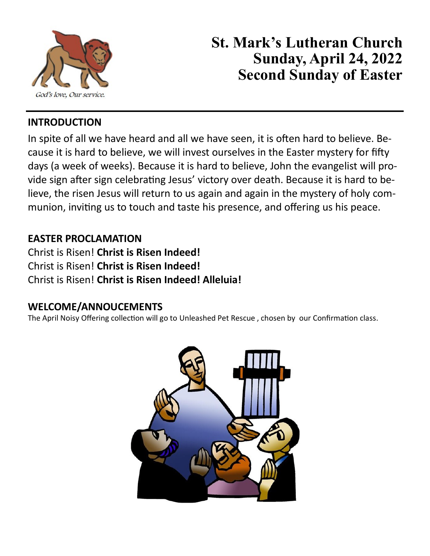

# **St. Mark's Lutheran Church Sunday, April 24, 2022 Second Sunday of Easter**

### **INTRODUCTION**

In spite of all we have heard and all we have seen, it is often hard to believe. Because it is hard to believe, we will invest ourselves in the Easter mystery for fifty days (a week of weeks). Because it is hard to believe, John the evangelist will provide sign after sign celebrating Jesus' victory over death. Because it is hard to believe, the risen Jesus will return to us again and again in the mystery of holy communion, inviting us to touch and taste his presence, and offering us his peace.

### **EASTER PROCLAMATION**

Christ is Risen! **Christ is Risen Indeed!** Christ is Risen! **Christ is Risen Indeed!** Christ is Risen! **Christ is Risen Indeed! Alleluia!**

#### **WELCOME/ANNOUCEMENTS**

The April Noisy Offering collection will go to Unleashed Pet Rescue , chosen by our Confirmation class.

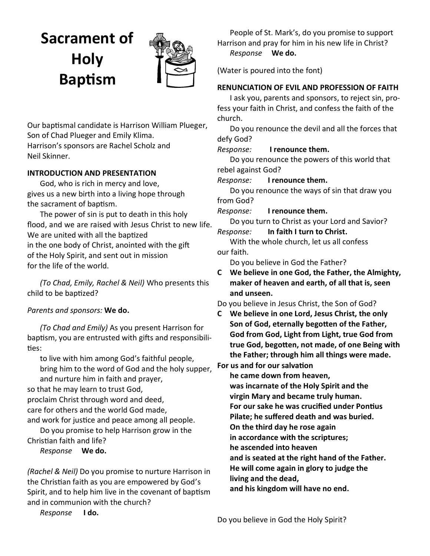# **Sacrament of Holy Baptism**



Our baptismal candidate is Harrison William Plueger, Son of Chad Plueger and Emily Klima. Harrison's sponsors are Rachel Scholz and Neil Skinner.

#### **INTRODUCTION AND PRESENTATION**

God, who is rich in mercy and love, gives us a new birth into a living hope through the sacrament of baptism.

The power of sin is put to death in this holy flood, and we are raised with Jesus Christ to new life. We are united with all the baptized in the one body of Christ, anointed with the gift of the Holy Spirit, and sent out in mission for the life of the world.

*(To Chad, Emily, Rachel & Neil)* Who presents this child to be baptized?

#### *Parents and sponsors:* **We do.**

*(To Chad and Emily)* As you present Harrison for baptism, you are entrusted with gifts and responsibilities:

to live with him among God's faithful people, bring him to the word of God and the holy supper, and nurture him in faith and prayer,

so that he may learn to trust God,

proclaim Christ through word and deed, care for others and the world God made, and work for justice and peace among all people.

Do you promise to help Harrison grow in the Christian faith and life?

*Response* **We do.**

*(Rachel & Neil)* Do you promise to nurture Harrison in the Christian faith as you are empowered by God's Spirit, and to help him live in the covenant of baptism and in communion with the church?

*Response* **I do.**

People of St. Mark's, do you promise to support Harrison and pray for him in his new life in Christ? *Response* **We do.**

(Water is poured into the font)

#### **RENUNCIATION OF EVIL AND PROFESSION OF FAITH**

I ask you, parents and sponsors, to reject sin, profess your faith in Christ, and confess the faith of the church.

Do you renounce the devil and all the forces that defy God?

*Response:* **I renounce them.**

Do you renounce the powers of this world that rebel against God?

*Response:* **I renounce them.**

Do you renounce the ways of sin that draw you from God?

*Response:* **I renounce them.**

Do you turn to Christ as your Lord and Savior? *Response:* **In faith I turn to Christ.**

With the whole church, let us all confess our faith.

Do you believe in God the Father?

**C We believe in one God, the Father, the Almighty, maker of heaven and earth, of all that is, seen and unseen.**

Do you believe in Jesus Christ, the Son of God?

**C We believe in one Lord, Jesus Christ, the only Son of God, eternally begotten of the Father, God from God, Light from Light, true God from true God, begotten, not made, of one Being with the Father; through him all things were made.** 

**For us and for our salvation**

**he came down from heaven,**

**was incarnate of the Holy Spirit and the** 

**virgin Mary and became truly human.**

**For our sake he was crucified under Pontius**

**Pilate; he suffered death and was buried.**

**On the third day he rose again**

**in accordance with the scriptures;**

**he ascended into heaven**

**and is seated at the right hand of the Father.**

**He will come again in glory to judge the** 

**living and the dead,**

**and his kingdom will have no end.**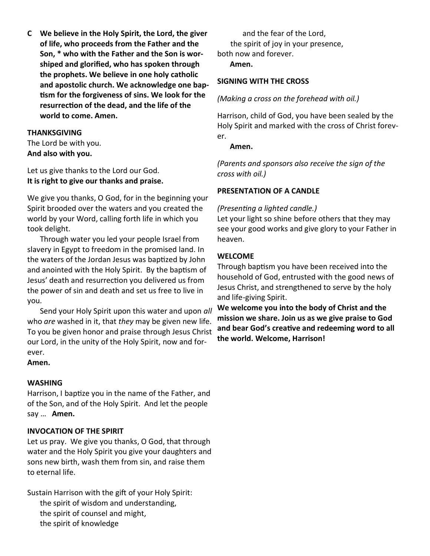**C We believe in the Holy Spirit, the Lord, the giver of life, who proceeds from the Father and the Son, \* who with the Father and the Son is worshiped and glorified, who has spoken through the prophets. We believe in one holy catholic and apostolic church. We acknowledge one baptism for the forgiveness of sins. We look for the resurrection of the dead, and the life of the world to come. Amen.**

#### **THANKSGIVING**

The Lord be with you. **And also with you.**

Let us give thanks to the Lord our God. **It is right to give our thanks and praise.**

We give you thanks, O God, for in the beginning your Spirit brooded over the waters and you created the world by your Word, calling forth life in which you took delight.

Through water you led your people Israel from slavery in Egypt to freedom in the promised land. In the waters of the Jordan Jesus was baptized by John and anointed with the Holy Spirit. By the baptism of Jesus' death and resurrection you delivered us from the power of sin and death and set us free to live in you.

Send your Holy Spirit upon this water and upon *all* who *are* washed in it, that *they* may be given new life. To you be given honor and praise through Jesus Christ our Lord, in the unity of the Holy Spirit, now and forever.

#### **Amen.**

#### **WASHING**

Harrison, I baptize you in the name of the Father, and of the Son, and of the Holy Spirit. And let the people say … **Amen.**

#### **INVOCATION OF THE SPIRIT**

Let us pray. We give you thanks, O God, that through water and the Holy Spirit you give your daughters and sons new birth, wash them from sin, and raise them to eternal life.

Sustain Harrison with the gift of your Holy Spirit: the spirit of wisdom and understanding, the spirit of counsel and might, the spirit of knowledge

and the fear of the Lord, the spirit of joy in your presence, both now and forever.

**Amen.**

#### **SIGNING WITH THE CROSS**

#### *(Making a cross on the forehead with oil.)*

Harrison, child of God, you have been sealed by the Holy Spirit and marked with the cross of Christ forever.

#### **Amen.**

*(Parents and sponsors also receive the sign of the cross with oil.)*

#### **PRESENTATION OF A CANDLE**

#### *(Presenting a lighted candle.)*

Let your light so shine before others that they may see your good works and give glory to your Father in heaven.

#### **WELCOME**

Through baptism you have been received into the household of God, entrusted with the good news of Jesus Christ, and strengthened to serve by the holy and life-giving Spirit.

**We welcome you into the body of Christ and the mission we share. Join us as we give praise to God and bear God's creative and redeeming word to all the world. Welcome, Harrison!**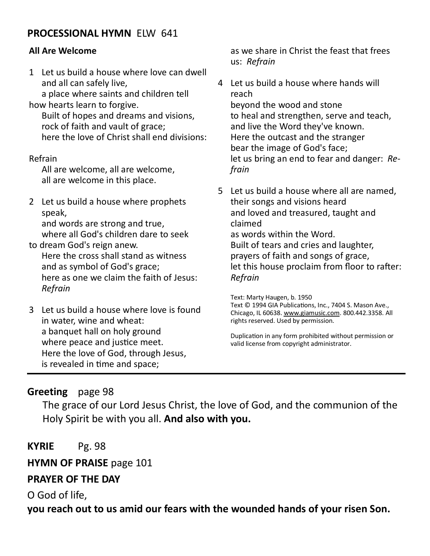### **PROCESSIONAL HYMN** ELW 641

#### **All Are Welcome**

1 Let us build a house where love can dwell and all can safely live,

a place where saints and children tell how hearts learn to forgive.

Built of hopes and dreams and visions, rock of faith and vault of grace; here the love of Christ shall end divisions:

#### Refrain

All are welcome, all are welcome, all are welcome in this place.

2 Let us build a house where prophets speak,

and words are strong and true, where all God's children dare to seek to dream God's reign anew.

Here the cross shall stand as witness and as symbol of God's grace; here as one we claim the faith of Jesus: *Refrain*

3 Let us build a house where love is found in water, wine and wheat: a banquet hall on holy ground where peace and justice meet. Here the love of God, through Jesus, is revealed in time and space;

as we share in Christ the feast that frees us: *Refrain*

- 4 Let us build a house where hands will reach beyond the wood and stone to heal and strengthen, serve and teach, and live the Word they've known. Here the outcast and the stranger bear the image of God's face; let us bring an end to fear and danger: *Refrain*
- 5 Let us build a house where all are named, their songs and visions heard and loved and treasured, taught and claimed as words within the Word. Built of tears and cries and laughter, prayers of faith and songs of grace, let this house proclaim from floor to rafter: *Refrain*

Text: Marty Haugen, b. 1950 Text © 1994 GIA Publications, Inc., 7404 S. Mason Ave., Chicago, IL 60638. [www.giamusic.com.](http://www.giamusic.com/) 800.442.3358. All rights reserved. Used by permission.

Duplication in any form prohibited without permission or valid license from copyright administrator.

#### **Greeting** page 98

The grace of our Lord Jesus Christ, the love of God, and the communion of the Holy Spirit be with you all. **And also with you.**

**KYRIE** Pg. 98

**HYMN OF PRAISE** page 101

#### **PRAYER OF THE DAY**

O God of life,

**you reach out to us amid our fears with the wounded hands of your risen Son.**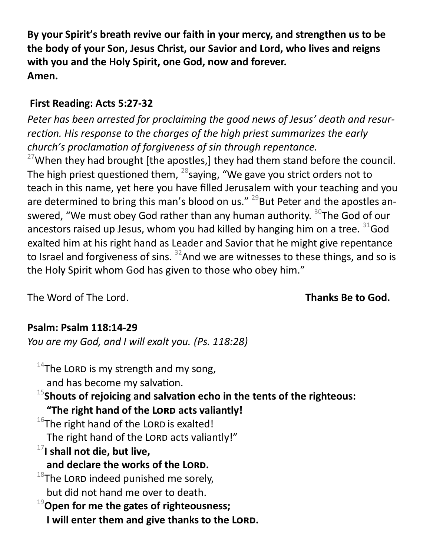**By your Spirit's breath revive our faith in your mercy, and strengthen us to be the body of your Son, Jesus Christ, our Savior and Lord, who lives and reigns with you and the Holy Spirit, one God, now and forever. Amen.**

### **First Reading: Acts 5:27-32**

*Peter has been arrested for proclaiming the good news of Jesus' death and resurrection. His response to the charges of the high priest summarizes the early church's proclamation of forgiveness of sin through repentance.*

 $27$ When they had brought [the apostles,] they had them stand before the council. The high priest questioned them,  $^{28}$ saying, "We gave you strict orders not to teach in this name, yet here you have filled Jerusalem with your teaching and you are determined to bring this man's blood on us."  $^{29}$ But Peter and the apostles answered, "We must obey God rather than any human authority. <sup>30</sup>The God of our ancestors raised up Jesus, whom you had killed by hanging him on a tree.  $31$  God exalted him at his right hand as Leader and Savior that he might give repentance to Israel and forgiveness of sins.  $32$ And we are witnesses to these things, and so is the Holy Spirit whom God has given to those who obey him."

The Word of The Lord. **Thanks Be to God.** 

# **Psalm: Psalm 118:14-29**

*You are my God, and I will exalt you. (Ps. 118:28)*

 $14$ The LORD is my strength and my song, and has become my salvation. <sup>15</sup>**Shouts of rejoicing and salvation echo in the tents of the righteous: "The right hand of the Lord acts valiantly!**  $16$ The right hand of the LORD is exalted! The right hand of the LORD acts valiantly!" <sup>17</sup>**I shall not die, but live, and declare the works of the Lord.**  $^{18}$ The LORD indeed punished me sorely. but did not hand me over to death. <sup>19</sup>**Open for me the gates of righteousness; I will enter them and give thanks to the LORD.**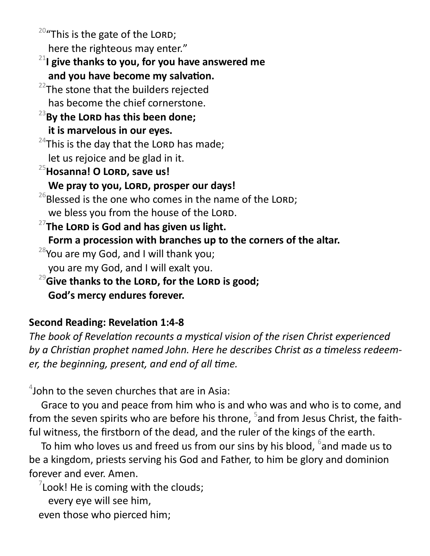$20$ "This is the gate of the LORD; here the righteous may enter."

<sup>21</sup>**I give thanks to you, for you have answered me and you have become my salvation.**

 $22$ The stone that the builders rejected has become the chief cornerstone.

# <sup>23</sup>**By the Lord has this been done; it is marvelous in our eyes.**

 $24$ This is the day that the LORD has made; let us rejoice and be glad in it.

<sup>25</sup>**Hosanna! O Lord, save us!**

We pray to you, LORD, prosper our days!

 $^{26}$ Blessed is the one who comes in the name of the LORD; we bless you from the house of the LORD.

<sup>27</sup>The LORD is God and has given us light.

**Form a procession with branches up to the corners of the altar.**

 $28$ You are my God, and I will thank you;

- you are my God, and I will exalt you.
- <sup>29</sup>Give thanks to the LORD, for the LORD is good; **God's mercy endures forever.**

# **Second Reading: Revelation 1:4-8**

*The book of Revelation recounts a mystical vision of the risen Christ experienced by a Christian prophet named John. Here he describes Christ as a timeless redeemer, the beginning, present, and end of all time.*

 $4$ John to the seven churches that are in Asia:

Grace to you and peace from him who is and who was and who is to come, and from the seven spirits who are before his throne, <sup>5</sup>and from Jesus Christ, the faithful witness, the firstborn of the dead, and the ruler of the kings of the earth.

To him who loves us and freed us from our sins by his blood,  $^6$ and made us to be a kingdom, priests serving his God and Father, to him be glory and dominion forever and ever. Amen.

 $7$ Look! He is coming with the clouds;

every eye will see him,

even those who pierced him;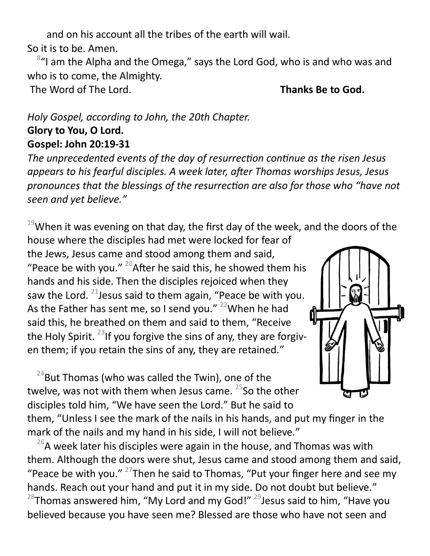and on his account all the tribes of the earth will wail.

So it is to be. Amen.

<sup>8</sup>"I am the Alpha and the Omega," says the Lord God, who is and who was and who is to come, the Almighty.

The Word of The Lord. **Thanks Be to God.** 

# *Holy Gospel, according to John, the 20th Chapter.* **Glory to You, O Lord. Gospel: John 20:19-31**

*The unprecedented events of the day of resurrection continue as the risen Jesus appears to his fearful disciples. A week later, after Thomas worships Jesus, Jesus pronounces that the blessings of the resurrection are also for those who "have not seen and yet believe."*

 $19$ When it was evening on that day, the first day of the week, and the doors of the house where the disciples had met were locked for fear of

the Jews, Jesus came and stood among them and said, "Peace be with you."  $^{20}$ After he said this, he showed them his hands and his side. Then the disciples rejoiced when they saw the Lord. <sup>21</sup> Jesus said to them again, "Peace be with you. As the Father has sent me, so I send you." <sup>22</sup>When he had said this, he breathed on them and said to them, "Receive the Holy Spirit. <sup>23</sup>If you forgive the sins of any, they are forgiven them; if you retain the sins of any, they are retained."

 $24$ But Thomas (who was called the Twin), one of the twelve, was not with them when Jesus came.  $25$ So the other disciples told him, "We have seen the Lord." But he said to



them, "Unless I see the mark of the nails in his hands, and put my finger in the mark of the nails and my hand in his side, I will not believe."

 $26$ A week later his disciples were again in the house, and Thomas was with them. Although the doors were shut, Jesus came and stood among them and said, "Peace be with you."  $27$ Then he said to Thomas, "Put your finger here and see my hands. Reach out your hand and put it in my side. Do not doubt but believe."  $^{28}$ Thomas answered him, "My Lord and my God!"  $^{29}$ Jesus said to him, "Have you believed because you have seen me? Blessed are those who have not seen and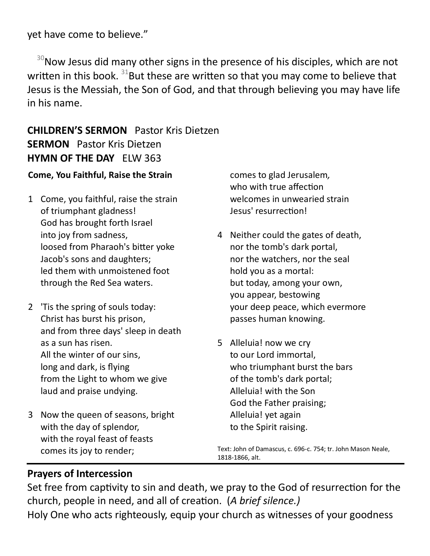yet have come to believe."

 $30$ Now Jesus did many other signs in the presence of his disciples, which are not written in this book.  $31$ But these are written so that you may come to believe that Jesus is the Messiah, the Son of God, and that through believing you may have life in his name.

# **CHILDREN'S SERMON** Pastor Kris Dietzen **SERMON** Pastor Kris Dietzen **HYMN OF THE DAY** ELW 363

#### **Come, You Faithful, Raise the Strain**

- 1 Come, you faithful, raise the strain of triumphant gladness! God has brought forth Israel into joy from sadness, loosed from Pharaoh's bitter yoke Jacob's sons and daughters; led them with unmoistened foot through the Red Sea waters.
- 2 'Tis the spring of souls today: Christ has burst his prison, and from three days' sleep in death as a sun has risen. All the winter of our sins, long and dark, is flying from the Light to whom we give laud and praise undying.
- 3 Now the queen of seasons, bright with the day of splendor, with the royal feast of feasts comes its joy to render;

comes to glad Jerusalem*,* who with true affection welcomes in unwearied strain Jesus' resurrection!

- 4 Neither could the gates of death, nor the tomb's dark portal, nor the watchers, nor the seal hold you as a mortal: but today, among your own, you appear, bestowing your deep peace, which evermore passes human knowing.
- 5 Alleluia! now we cry to our Lord immortal, who triumphant burst the bars of the tomb's dark portal; Alleluia! with the Son God the Father praising; Alleluia! yet again to the Spirit raising.

Text: John of Damascus, c. 696-c. 754; tr. John Mason Neale, 1818-1866, alt.

#### **Prayers of Intercession**

Set free from captivity to sin and death, we pray to the God of resurrection for the church, people in need, and all of creation. (*A brief silence.)* Holy One who acts righteously, equip your church as witnesses of your goodness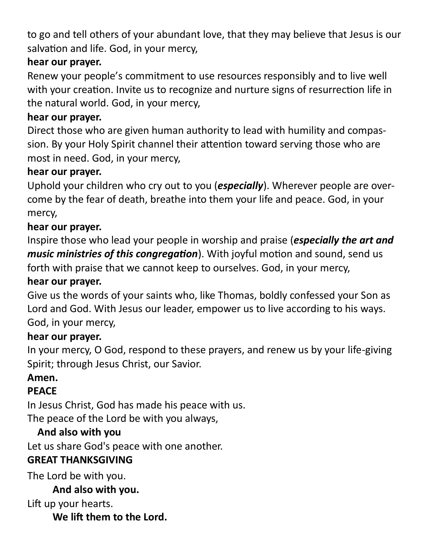to go and tell others of your abundant love, that they may believe that Jesus is our salvation and life. God, in your mercy,

# **hear our prayer.**

Renew your people's commitment to use resources responsibly and to live well with your creation. Invite us to recognize and nurture signs of resurrection life in the natural world. God, in your mercy,

# **hear our prayer.**

Direct those who are given human authority to lead with humility and compassion. By your Holy Spirit channel their attention toward serving those who are most in need. God, in your mercy,

# **hear our prayer.**

Uphold your children who cry out to you (*especially*). Wherever people are overcome by the fear of death, breathe into them your life and peace. God, in your mercy,

# **hear our prayer.**

Inspire those who lead your people in worship and praise (*especially the art and music ministries of this congregation*). With joyful motion and sound, send us forth with praise that we cannot keep to ourselves. God, in your mercy,

# **hear our prayer.**

Give us the words of your saints who, like Thomas, boldly confessed your Son as Lord and God. With Jesus our leader, empower us to live according to his ways. God, in your mercy,

# **hear our prayer.**

In your mercy, O God, respond to these prayers, and renew us by your life-giving Spirit; through Jesus Christ, our Savior.

# **Amen.**

# **PEACE**

In Jesus Christ, God has made his peace with us. The peace of the Lord be with you always,

# **And also with you**

Let us share God's peace with one another.

# **GREAT THANKSGIVING**

The Lord be with you.

### **And also with you.**

Lift up your hearts.

**We lift them to the Lord.**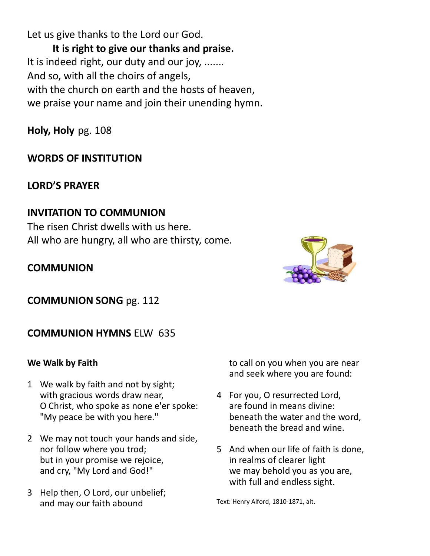Let us give thanks to the Lord our God.

**It is right to give our thanks and praise.**  It is indeed right, our duty and our joy, ....... And so, with all the choirs of angels, with the church on earth and the hosts of heaven, we praise your name and join their unending hymn.

**Holy, Holy** pg. 108

### **WORDS OF INSTITUTION**

#### **LORD'S PRAYER**

### **INVITATION TO COMMUNION**

The risen Christ dwells with us here. All who are hungry, all who are thirsty, come.

#### **COMMUNION**



**COMMUNION SONG** pg. 112

### **COMMUNION HYMNS** ELW 635

#### **We Walk by Faith**

- 1 We walk by faith and not by sight; with gracious words draw near, O Christ, who spoke as none e'er spoke: "My peace be with you here."
- 2 We may not touch your hands and side, nor follow where you trod; but in your promise we rejoice, and cry, "My Lord and God!"
- 3 Help then, O Lord, our unbelief; and may our faith abound

to call on you when you are near and seek where you are found:

- 4 For you, O resurrected Lord, are found in means divine: beneath the water and the word, beneath the bread and wine.
- 5 And when our life of faith is done, in realms of clearer light we may behold you as you are, with full and endless sight.

Text: Henry Alford, 1810-1871, alt.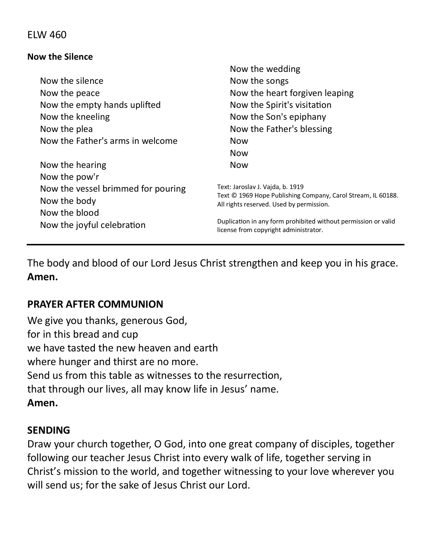#### ELW 460

#### **Now the Silence**

|                                    | Now the wedding                                                                                         |
|------------------------------------|---------------------------------------------------------------------------------------------------------|
| Now the silence                    | Now the songs                                                                                           |
| Now the peace                      | Now the heart forgiven leaping                                                                          |
| Now the empty hands uplifted       | Now the Spirit's visitation                                                                             |
| Now the kneeling                   | Now the Son's epiphany                                                                                  |
| Now the plea                       | Now the Father's blessing                                                                               |
| Now the Father's arms in welcome   | <b>Now</b>                                                                                              |
|                                    | <b>Now</b>                                                                                              |
| Now the hearing                    | <b>Now</b>                                                                                              |
| Now the pow'r                      |                                                                                                         |
| Now the vessel brimmed for pouring | Text: Jaroslav J. Vajda, b. 1919                                                                        |
| Now the body                       | Text © 1969 Hope Publishing Company, Carol Stream, IL 60188.                                            |
| Now the blood                      | All rights reserved. Used by permission.                                                                |
| Now the joyful celebration         | Duplication in any form prohibited without permission or valid<br>license from copyright administrator. |
|                                    |                                                                                                         |

The body and blood of our Lord Jesus Christ strengthen and keep you in his grace. **Amen.**

#### **PRAYER AFTER COMMUNION**

We give you thanks, generous God, for in this bread and cup we have tasted the new heaven and earth where hunger and thirst are no more. Send us from this table as witnesses to the resurrection, that through our lives, all may know life in Jesus' name. **Amen.**

#### **SENDING**

Draw your church together, O God, into one great company of disciples, together following our teacher Jesus Christ into every walk of life, together serving in Christ's mission to the world, and together witnessing to your love wherever you will send us; for the sake of Jesus Christ our Lord.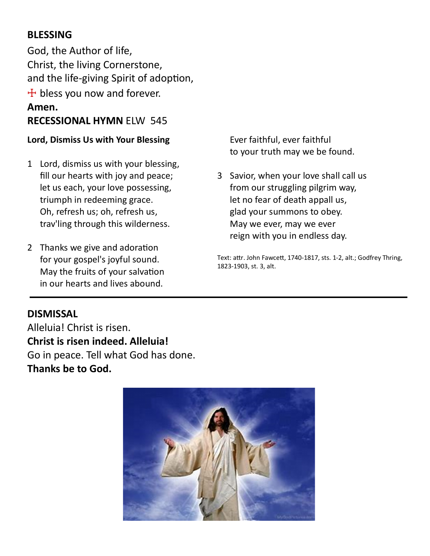### **BLESSING**

God, the Author of life, Christ, the living Cornerstone, and the life-giving Spirit of adoption,  $+$  bless you now and forever. **Amen. RECESSIONAL HYMN** ELW 545

#### **Lord, Dismiss Us with Your Blessing**

- 1 Lord, dismiss us with your blessing, fill our hearts with joy and peace; let us each, your love possessing, triumph in redeeming grace. Oh, refresh us; oh, refresh us, trav'ling through this wilderness.
- 2 Thanks we give and adoration for your gospel's joyful sound. May the fruits of your salvation in our hearts and lives abound.

Ever faithful, ever faithful to your truth may we be found.

3 Savior, when your love shall call us from our struggling pilgrim way, let no fear of death appall us, glad your summons to obey. May we ever, may we ever reign with you in endless day.

Text: attr. John Fawcett, 1740-1817, sts. 1-2, alt.; Godfrey Thring, 1823-1903, st. 3, alt.

#### **DISMISSAL**

Alleluia! Christ is risen. **Christ is risen indeed. Alleluia!** Go in peace. Tell what God has done. **Thanks be to God.**